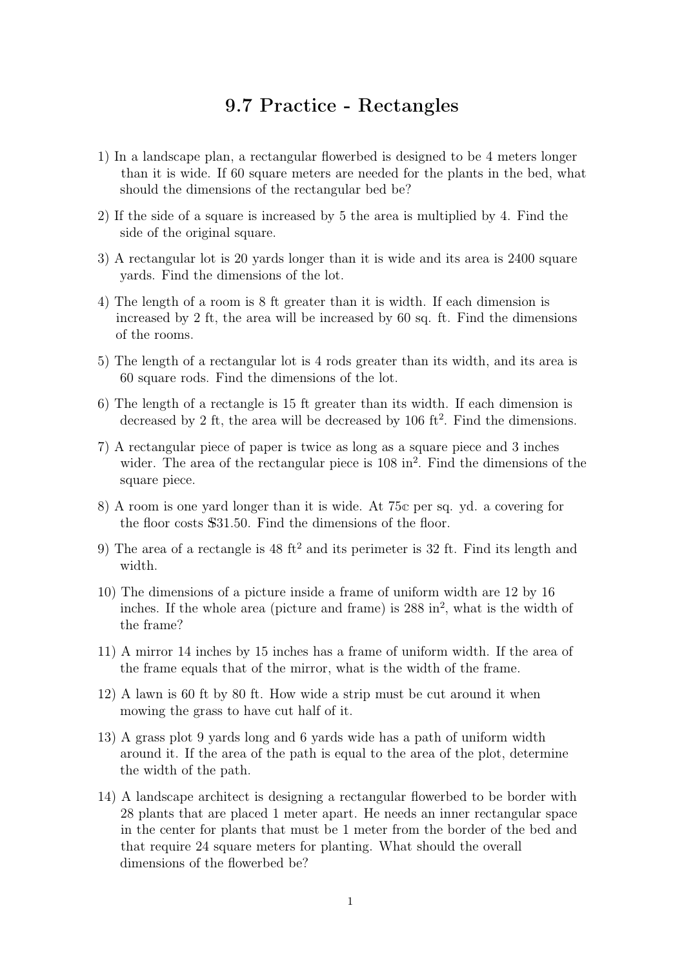## **9.7 Practice - Rectangles**

- 1) In a landscape plan, a rectangular flowerbed is designed to be 4 meters longer than it is wide. If 60 square meters are needed for the plants in the bed, what should the dimensions of the rectangular bed be?
- 2) If the side of a square is increased by 5 the area is multiplied by 4. Find the side of the original square.
- 3) A rectangular lot is 20 yards longer than it is wide and its area is 2400 square yards. Find the dimensions of the lot.
- 4) The length of a room is 8 ft greater than it is width. If each dimension is increased by 2 ft, the area will be increased by 60 sq. ft. Find the dimensions of the rooms.
- 5) The length of a rectangular lot is 4 rods greater than its width, and its area is 60 square rods. Find the dimensions of the lot.
- 6) The length of a rectangle is 15 ft greater than its width. If each dimension is decreased by 2 ft, the area will be decreased by 106 ft<sup>2</sup>. Find the dimensions.
- 7) A rectangular piece of paper is twice as long as a square piece and 3 inches wider. The area of the rectangular piece is 108 in<sup>2</sup>. Find the dimensions of the square piece.
- 8) A room is one yard longer than it is wide. At 75c per sq. yd. a covering for the floor costs S31.50. Find the dimensions of the floor.
- 9) The area of a rectangle is  $48 \text{ ft}^2$  and its perimeter is  $32 \text{ ft}$ . Find its length and width.
- 10) The dimensions of a picture inside a frame of uniform width are 12 by 16 inches. If the whole area (picture and frame) is 288 in<sup>2</sup>, what is the width of the frame?
- 11) A mirror 14 inches by 15 inches has a frame of uniform width. If the area of the frame equals that of the mirror, what is the width of the frame.
- 12) A lawn is 60 ft by 80 ft. How wide a strip must be cut around it when mowing the grass to have cut half of it.
- 13) A grass plot 9 yards long and 6 yards wide has a path of uniform width around it. If the area of the path is equal to the area of the plot, determine the width of the path.
- 14) A landscape architect is designing a rectangular flowerbed to be border with 28 plants that are placed 1 meter apart. He needs an inner rectangular space in the center for plants that must be 1 meter from the border of the bed and that require 24 square meters for planting. What should the overall dimensions of the flowerbed be?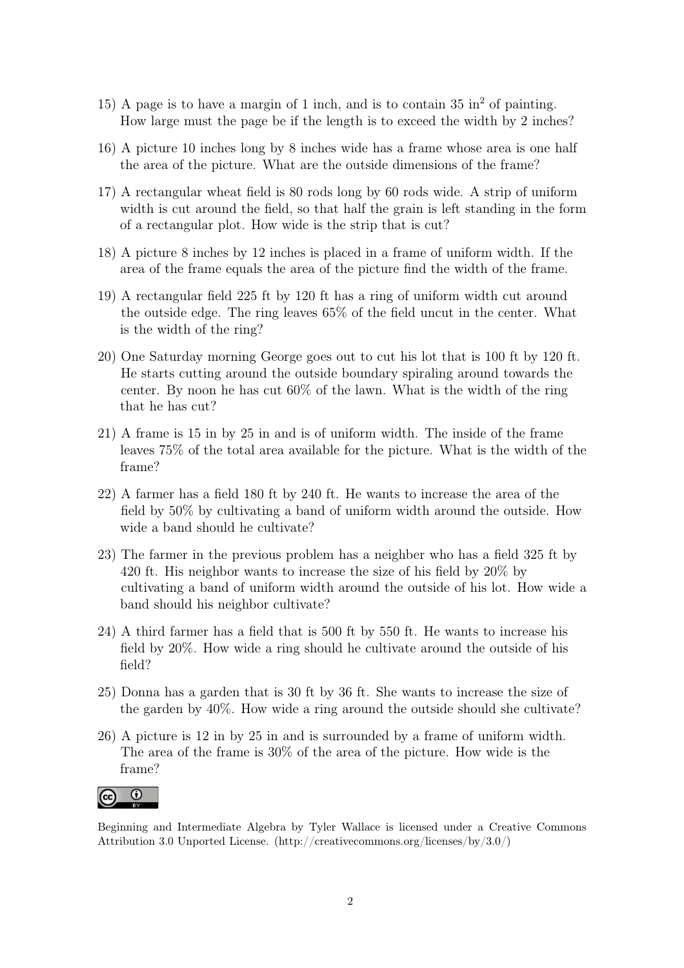- 15) A page is to have a margin of 1 inch, and is to contain  $35 \text{ in}^2$  of painting. How large must the page be if the length is to exceed the width by 2 inches?
- 16) A picture 10 inches long by 8 inches wide has a frame whose area is one half the area of the picture. What are the outside dimensions of the frame?
- 17) A rectangular wheat field is 80 rods long by 60 rods wide. A strip of uniform width is cut around the field, so that half the grain is left standing in the form of a rectangular plot. How wide is the strip that is cut?
- 18) A picture 8 inches by 12 inches is placed in a frame of uniform width. If the area of the frame equals the area of the picture find the width of the frame.
- 19) A rectangular field 225 ft by 120 ft has a ring of uniform width cut around the outside edge. The ring leaves 65% of the field uncut in the center. What is the width of the ring?
- 20) One Saturday morning George goes out to cut his lot that is 100 ft by 120 ft. He starts cutting around the outside boundary spiraling around towards the center. By noon he has cut 60% of the lawn. What is the width of the ring that he has cut?
- 21) A frame is 15 in by 25 in and is of uniform width. The inside of the frame leaves 75% of the total area available for the picture. What is the width of the frame?
- 22) A farmer has a field 180 ft by 240 ft. He wants to increase the area of the field by 50% by cultivating a band of uniform width around the outside. How wide a band should he cultivate?
- 23) The farmer in the previous problem has a neighber who has a field 325 ft by 420 ft. His neighbor wants to increase the size of his field by 20% by cultivating a band of uniform width around the outside of his lot. How wide a band should his neighbor cultivate?
- 24) A third farmer has a field that is 500 ft by 550 ft. He wants to increase his field by 20%. How wide a ring should he cultivate around the outside of his field?
- 25) Donna has a garden that is 30 ft by 36 ft. She wants to increase the size of the garden by 40%. How wide a ring around the outside should she cultivate?
- 26) A picture is 12 in by 25 in and is surrounded by a frame of uniform width. The area of the frame is 30% of the area of the picture. How wide is the frame?



Beginning and Intermediate Algebra by Tyler Wallace is licensed under a Creative Commons Attribution 3.0 Unported License. (http://creativecommons.org/licenses/by/3.0/)